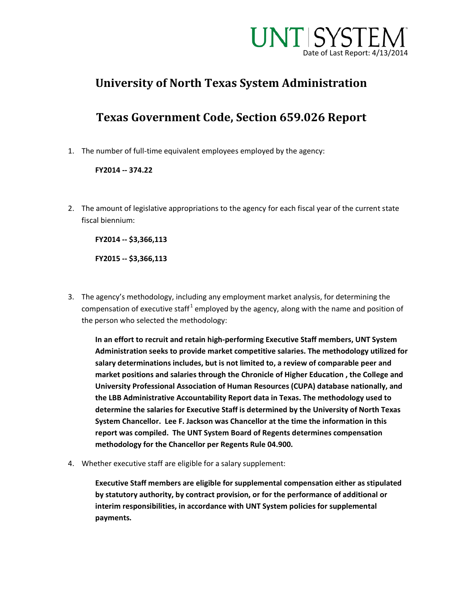

## **University of North Texas System Administration**

## **Texas Government Code, Section 659.026 Report**

1. The number of full-time equivalent employees employed by the agency:

### **FY2014 -- 374.22**

2. The amount of legislative appropriations to the agency for each fiscal year of the current state fiscal biennium:

**FY2014 -- \$3,366,113** 

**FY2015 -- \$3,366,113** 

3. The agency's methodology, including any employment market analysis, for determining the compensation of executive staff<sup>[1](#page-1-0)</sup> employed by the agency, along with the name and position of the person who selected the methodology:

**In an effort to recruit and retain high-performing Executive Staff members, UNT System Administration seeks to provide market competitive salaries. The methodology utilized for salary determinations includes, but is not limited to, a review of comparable peer and market positions and salaries through the Chronicle of Higher Education , the College and University Professional Association of Human Resources (CUPA) database nationally, and the LBB Administrative Accountability Report data in Texas. The methodology used to determine the salaries for Executive Staff is determined by the University of North Texas System Chancellor. Lee F. Jackson was Chancellor at the time the information in this report was compiled. The UNT System Board of Regents determines compensation methodology for the Chancellor per Regents Rule 04.900.** 

4. Whether executive staff are eligible for a salary supplement:

**Executive Staff members are eligible for supplemental compensation either as stipulated by statutory authority, by contract provision, or for the performance of additional or interim responsibilities, in accordance with UNT System policies for supplemental payments.**